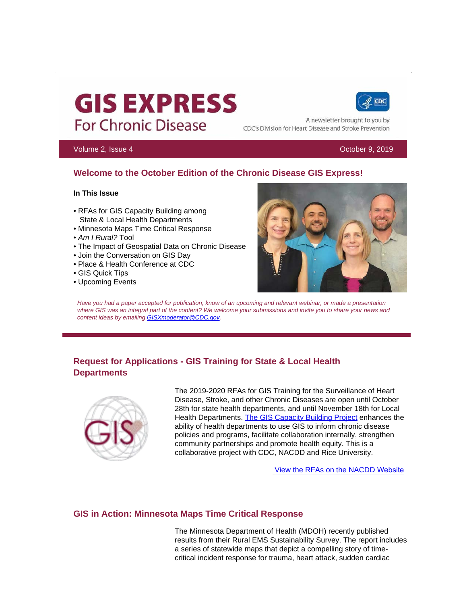# **GIS EXPRESS For Chronic Disease**



A newsletter brought to you by CDC's Division for Heart Disease and Stroke Prevention

#### Volume 2, Issue 4 October 9, 2019

# **Welcome to the October Edition of the Chronic Disease GIS Express!**

#### **In This Issue**

- RFAs for GIS Capacity Building among State & Local Health Departments
- Minnesota Maps Time Critical Response
- *Am I Rural?* Tool
- The Impact of Geospatial Data on Chronic Disease
- Join the Conversation on GIS Day
- Place & Health Conference at CDC
- GIS Quick Tips
- Upcoming Events



*Have you had a paper accepted for publication, know of an upcoming and relevant webinar, or made a presentation*  where GIS was an integral part of the content? We welcome your submissions and invite you to share your news and *content ideas by emailing [GISXmoderator@CDC.gov](mailto:GISXmoderator@CDC.gov).* 

# **Request for Applications - GIS Training for State & Local Health Departments**



The 2019-2020 RFAs for GIS Training for the Surveillance of Heart Disease, Stroke, and other Chronic Diseases are open until October 28th for state health departments, and until November 18th for Local Health Departments. [The GIS Capacity Building Project](https://t.emailupdates.cdc.gov/r/?id=h4109955,35dcdf2,35dd2c1) enhances the ability of health departments to use GIS to inform chronic disease policies and programs, facilitate collaboration internally, strengthen community partnerships and promote health equity. This is a collaborative project with CDC, NACDD and Rice University.

[View the RFAs on the NACDD](https://t.emailupdates.cdc.gov/r/?id=h4109955,35dcdf2,35dd2c2) Website

#### **GIS in Action: Minnesota Maps Time Critical Response**

The Minnesota Department of Health (MDOH) recently published results from their Rural EMS Sustainability Survey. The report includes a series of statewide maps that depict a compelling story of timecritical incident response for trauma, heart attack, sudden cardiac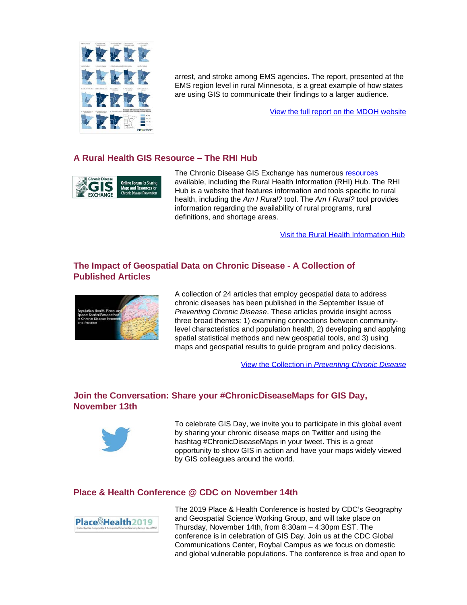

arrest, and stroke among EMS agencies. The report, presented at the EMS region level in rural Minnesota, is a great example of how states are using GIS to communicate their findings to a larger audience.

[View the full report on the MDOH website](https://t.emailupdates.cdc.gov/r/?id=h4109955,35dcdf2,35dd2c3) 

### **A Rural Health GIS Resource – The RHI Hub**



The Chronic Disease GIS Exchange has numerous resources available, including the Rural Health Information (RHI) Hub. The RHI Hub is a website that features information and tools specific to rural health, including the *Am I Rural?* tool. The *Am I Rural?* tool provides information regarding the availability of rural programs, rural definitions, and shortage areas.

[Visit the Rural Health Information Hub](https://t.emailupdates.cdc.gov/r/?id=h4109955,35dcdf2,35dd2c5)

#### **The Impact of Geospatial Data on Chronic Disease - A Collection of Published Articles**



A collection of 24 articles that employ geospatial data to address chronic diseases has been published in the September Issue of *Preventing Chronic Disease*. These articles provide insight across three broad themes: 1) examining connections between communitylevel characteristics and population health, 2) developing and applying spatial statistical methods and new geospatial tools, and 3) using maps and geospatial results to guide program and policy decisions.

View the Collection in *[Preventing Chronic Disease](https://t.emailupdates.cdc.gov/r/?id=h4109955,35dcdf2,35dd2c6)* 

# **Join the Conversation: Share your #ChronicDiseaseMaps for GIS Day, November 13th**



To celebrate GIS Day, we invite you to participate in this global event by sharing your chronic disease maps on Twitter and using the hashtag #ChronicDiseaseMaps in your tweet. This is a great opportunity to show GIS in action and have your maps widely viewed by GIS colleagues around the world.

#### **Place & Health Conference @ CDC on November 14th**



The 2019 Place & Health Conference is hosted by CDC's Geography and Geospatial Science Working Group, and will take place on Thursday, November 14th, from 8:30am – 4:30pm EST. The conference is in celebration of GIS Day. Join us at the CDC Global Communications Center, Roybal Campus as we focus on domestic and global vulnerable populations. The conference is free and open to